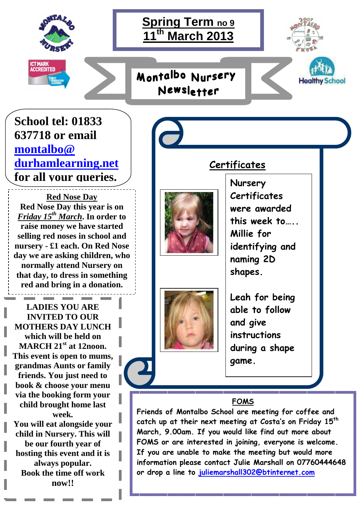



**School tel: 01833 637718 or email montalbo@ durhamlearning.net for all your queries.**

**Red Nose Day Red Nose Day this year is on**  *Friday 15th March***. In order to raise money we have started selling red noses in school and nursery - £1 each. On Red Nose day we are asking children, who normally attend Nursery on that day, to dress in something red and bring in a donation.** 

**LADIES YOU ARE INVITED TO OUR MOTHERS DAY LUNCH which will be held on MARCH 21st at 12noon. This event is open to mums, grandmas Aunts or family friends. You just need to book & choose your menu via the booking form your child brought home last week. You will eat alongside your** 

**child in Nursery. This will be our fourth year of hosting this event and it is always popular. Book the time off work now!!** 







**Nursery Certificates were awarded this week to….. Millie for identifying and naming 2D shapes.** 

 $\overline{a}$ 

**Healthy School** 

**Certificates** 

**Leah for being able to follow and give instructions during a shape game.** 

## **FOMS**

**Friends of Montalbo School are meeting for coffee and catch up at their next meeting at Costa's on Friday 15th March, 9.00am. If you would like find out more about FOMS or are interested in joining, everyone is welcome. If you are unable to make the meeting but would more information please contact Julie Marshall on 07760444648 or drop a line to juliemarshall302@btinternet.com**